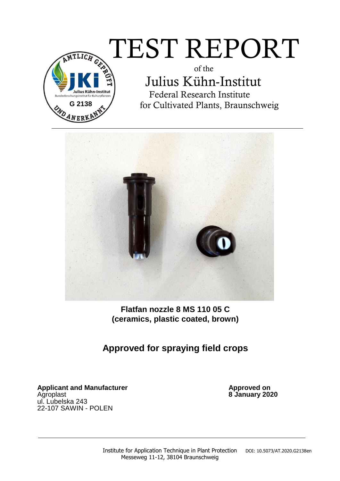# $\widehat{\pi_{\text{\tiny{ILG}}}}$   $\text{TEST}$   $\text{REPORT}$

**G 2138** ANER!

 of the Julius Kühn-Institut Federal Research Institute for Cultivated Plants, Braunschweig



**Flatfan nozzle 8 MS 110 05 C (ceramics, plastic coated, brown)** 

## **Approved for spraying field crops**

Applicant and Manufacturer **Applicant and Manufacturer Approved on** Agroplast **8 January 2020** ul. Lubelska 243 22-107 SAWIN - POLEN